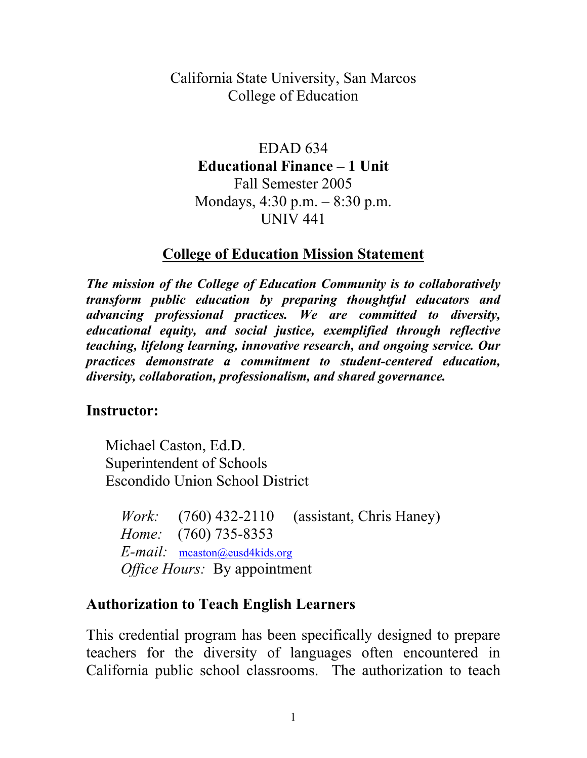### California State University, San Marcos College of Education

EDAD 634 **Educational Finance – 1 Unit** Fall Semester 2005 Mondays, 4:30 p.m. – 8:30 p.m. UNIV 441

#### **College of Education Mission Statement**

*The mission of the College of Education Community is to collaboratively transform public education by preparing thoughtful educators and advancing professional practices. We are committed to diversity, educational equity, and social justice, exemplified through reflective teaching, lifelong learning, innovative research, and ongoing service. Our practices demonstrate a commitment to student-centered education, diversity, collaboration, professionalism, and shared governance.* 

#### **Instructor:**

Michael Caston, Ed.D. Superintendent of Schools Escondido Union School District

*Work:* (760) 432-2110 (assistant, Chris Haney) *Home:* (760) 735-8353 *E-mail:* mcaston@eusd4kids.org *Office Hours:* By appointment

#### **Authorization to Teach English Learners**

This credential program has been specifically designed to prepare teachers for the diversity of languages often encountered in California public school classrooms. The authorization to teach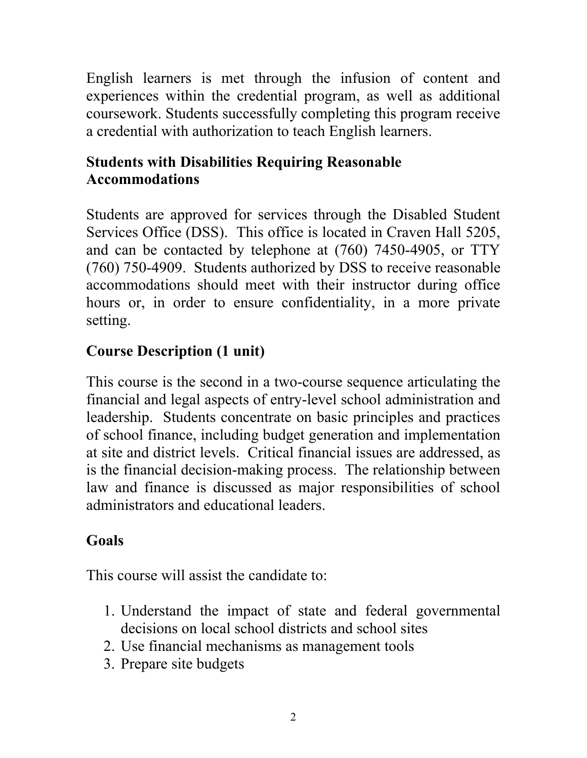English learners is met through the infusion of content and experiences within the credential program, as well as additional coursework. Students successfully completing this program receive a credential with authorization to teach English learners.

# **Students with Disabilities Requiring Reasonable Accommodations**

Students are approved for services through the Disabled Student Services Office (DSS). This office is located in Craven Hall 5205, and can be contacted by telephone at (760) 7450-4905, or TTY (760) 750-4909. Students authorized by DSS to receive reasonable accommodations should meet with their instructor during office hours or, in order to ensure confidentiality, in a more private setting.

# **Course Description (1 unit)**

This course is the second in a two-course sequence articulating the financial and legal aspects of entry-level school administration and leadership. Students concentrate on basic principles and practices of school finance, including budget generation and implementation at site and district levels. Critical financial issues are addressed, as is the financial decision-making process. The relationship between law and finance is discussed as major responsibilities of school administrators and educational leaders.

# **Goals**

This course will assist the candidate to:

- 1. Understand the impact of state and federal governmental decisions on local school districts and school sites
- 2. Use financial mechanisms as management tools
- 3. Prepare site budgets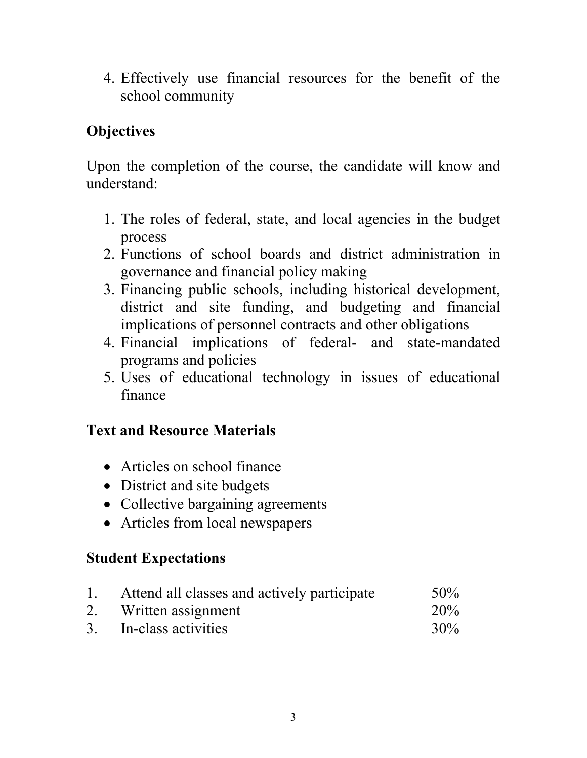4. Effectively use financial resources for the benefit of the school community

### **Objectives**

Upon the completion of the course, the candidate will know and understand:

- 1. The roles of federal, state, and local agencies in the budget process
- 2. Functions of school boards and district administration in governance and financial policy making
- 3. Financing public schools, including historical development, district and site funding, and budgeting and financial implications of personnel contracts and other obligations
- 4. Financial implications of federal- and state-mandated programs and policies
- 5. Uses of educational technology in issues of educational finance

### **Text and Resource Materials**

- Articles on school finance
- District and site budgets
- Collective bargaining agreements
- Articles from local newspapers

### **Student Expectations**

|    | Attend all classes and actively participate | $50\%$ |
|----|---------------------------------------------|--------|
| 2. | Written assignment                          | 20%    |
|    | 3. In-class activities                      | 30%    |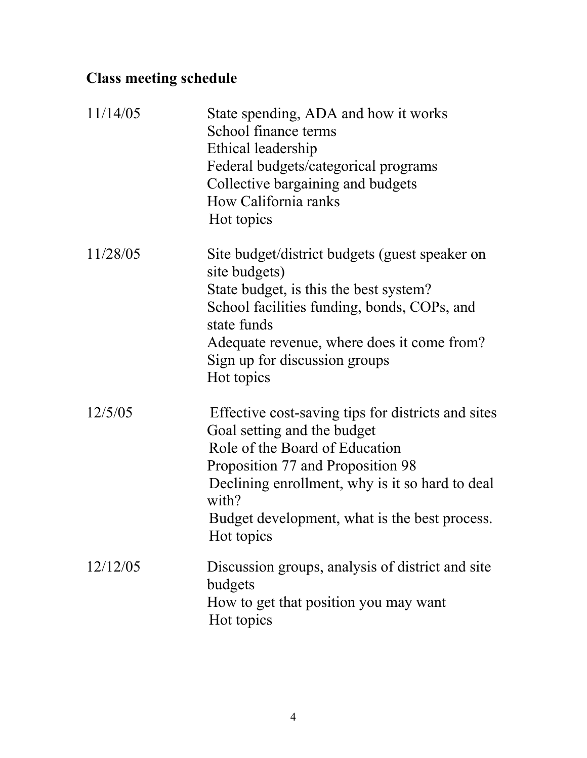# **Class meeting schedule**

| 11/14/05 | State spending, ADA and how it works<br>School finance terms<br>Ethical leadership<br>Federal budgets/categorical programs<br>Collective bargaining and budgets<br>How California ranks<br>Hot topics                                                                               |
|----------|-------------------------------------------------------------------------------------------------------------------------------------------------------------------------------------------------------------------------------------------------------------------------------------|
| 11/28/05 | Site budget/district budgets (guest speaker on<br>site budgets)<br>State budget, is this the best system?<br>School facilities funding, bonds, COPs, and<br>state funds<br>Adequate revenue, where does it come from?<br>Sign up for discussion groups<br>Hot topics                |
| 12/5/05  | Effective cost-saving tips for districts and sites<br>Goal setting and the budget<br>Role of the Board of Education<br>Proposition 77 and Proposition 98<br>Declining enrollment, why is it so hard to deal<br>with?<br>Budget development, what is the best process.<br>Hot topics |
| 12/12/05 | Discussion groups, analysis of district and site<br>budgets<br>How to get that position you may want<br>Hot topics                                                                                                                                                                  |